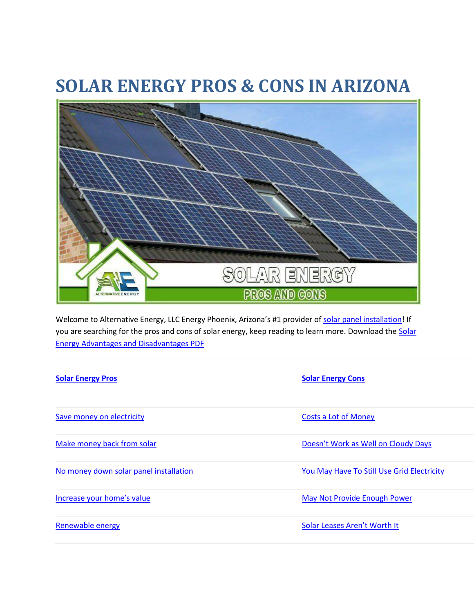# **SOLAR ENERGY PROS & CONS IN ARIZONA**



Welcome to Alternative Energy, LLC Energy Phoenix, Arizona's #1 provider of [solar panel installation!](https://powersolarphoenix.com/arizona/phoenix/solar-panel-installation/) If you are searching for the pros and cons of solar energy, keep reading to learn more. Download the Solar [Energy Advantages and Disadvantages PDF](https://powersolarphoenix.com/wp-content/uploads/2019/06/Solar-Energy-Advantages-and-Disadvantages-PDF.pdf)

| <b>Solar Energy Pros</b>               | <b>Solar Energy Cons</b>                   |
|----------------------------------------|--------------------------------------------|
| Save money on electricity              | <b>Costs a Lot of Money</b>                |
| Make money back from solar             | Doesn't Work as Well on Cloudy Days        |
| No money down solar panel installation | You May Have To Still Use Grid Electricity |
| Increase your home's value             | May Not Provide Enough Power               |
| Renewable energy                       | Solar Leases Aren't Worth It               |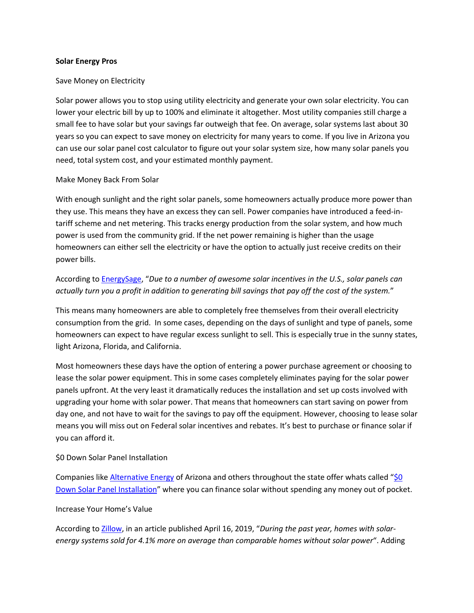#### **Solar Energy Pros**

#### Save Money on Electricity

Solar power allows you to stop using utility electricity and generate your own solar electricity. You can lower your electric bill by up to 100% and eliminate it altogether. Most utility companies still charge a small fee to have solar but your savings far outweigh that fee. On average, solar systems last about 30 years so you can expect to save money on electricity for many years to come. If you live in Arizona you can use our solar panel cost calculator to figure out your solar system size, how many solar panels you need, total system cost, and your estimated monthly payment.

#### Make Money Back From Solar

With enough sunlight and the right solar panels, some homeowners actually produce more power than they use. This means they have an excess they can sell. Power companies have introduced a feed-intariff scheme and net metering. This tracks energy production from the solar system, and how much power is used from the community grid. If the net power remaining is higher than the usage homeowners can either sell the electricity or have the option to actually just receive credits on their power bills.

# According to [EnergySage](https://news.energysage.com/advantages-and-disadvantages-of-solar-energy/), "*Due to a number of awesome solar incentives in the U.S., solar panels can actually turn you a profit in addition to generating bill savings that pay off the cost of the system.*"

This means many homeowners are able to completely free themselves from their overall electricity consumption from the grid. In some cases, depending on the days of sunlight and type of panels, some homeowners can expect to have regular excess sunlight to sell. This is especially true in the sunny states, light Arizona, Florida, and California.

Most homeowners these days have the option of entering a power purchase agreement or choosing to lease the solar power equipment. This in some cases completely eliminates paying for the solar power panels upfront. At the very least it dramatically reduces the installation and set up costs involved with upgrading your home with solar power. That means that homeowners can start saving on power from day one, and not have to wait for the savings to pay off the equipment. However, choosing to lease solar means you will miss out on Federal solar incentives and rebates. It's best to purchase or finance solar if you can afford it.

## \$0 Down Solar Panel Installation

Companies like [Alternative Energy](https://powersolarphoenix.com/) of Arizona and others throughout the state offer whats called "\$0 [Down Solar Panel Installation](https://powersolarphoenix.com/arizona/phoenix/solar-panel-installation/)" where you can finance solar without spending any money out of pocket.

#### Increase Your Home's Value

According to [Zillow](https://www.zillow.com/research/solar-panels-house-sell-more-23798/), in an article published April 16, 2019, "*During the past year, homes with solarenergy systems sold for 4.1% more on average than comparable homes without solar power*". Adding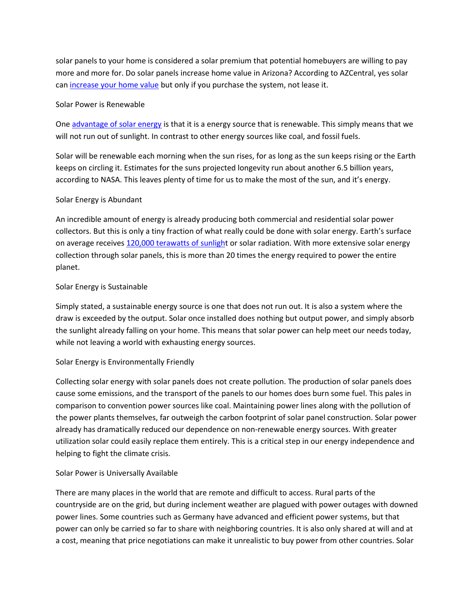solar panels to your home is considered a solar premium that potential homebuyers are willing to pay more and more for. Do solar panels increase home value in Arizona? According to AZCentral, yes solar can [increase your home value](https://www.azcentral.com/story/money/real-estate/2015/07/17/solar-raise-home-values-system/30296123/) but only if you purchase the system, not lease it.

## Solar Power is Renewable

One [advantage of solar energy](https://powersolarphoenix.com/advantage-solar-energy/) is that it is a energy source that is renewable. This simply means that we will not run out of sunlight. In contrast to other energy sources like coal, and fossil fuels.

Solar will be renewable each morning when the sun rises, for as long as the sun keeps rising or the Earth keeps on circling it. Estimates for the suns projected longevity run about another 6.5 billion years, according to NASA. This leaves plenty of time for us to make the most of the sun, and it's energy.

# Solar Energy is Abundant

An incredible amount of energy is already producing both commercial and residential solar power collectors. But this is only a tiny fraction of what really could be done with solar energy. Earth's surface on average receives [120,000 terawatts of sunlight](https://energyinformative.org/solar-energy-pros-and-cons/) or solar radiation. With more extensive solar energy collection through solar panels, this is more than 20 times the energy required to power the entire planet.

# Solar Energy is Sustainable

Simply stated, a sustainable energy source is one that does not run out. It is also a system where the draw is exceeded by the output. Solar once installed does nothing but output power, and simply absorb the sunlight already falling on your home. This means that solar power can help meet our needs today, while not leaving a world with exhausting energy sources.

# Solar Energy is Environmentally Friendly

Collecting solar energy with solar panels does not create pollution. The production of solar panels does cause some emissions, and the transport of the panels to our homes does burn some fuel. This pales in comparison to convention power sources like coal. Maintaining power lines along with the pollution of the power plants themselves, far outweigh the carbon footprint of solar panel construction. Solar power already has dramatically reduced our dependence on non-renewable energy sources. With greater utilization solar could easily replace them entirely. This is a critical step in our energy independence and helping to fight the climate crisis.

# Solar Power is Universally Available

There are many places in the world that are remote and difficult to access. Rural parts of the countryside are on the grid, but during inclement weather are plagued with power outages with downed power lines. Some countries such as Germany have advanced and efficient power systems, but that power can only be carried so far to share with neighboring countries. It is also only shared at will and at a cost, meaning that price negotiations can make it unrealistic to buy power from other countries. Solar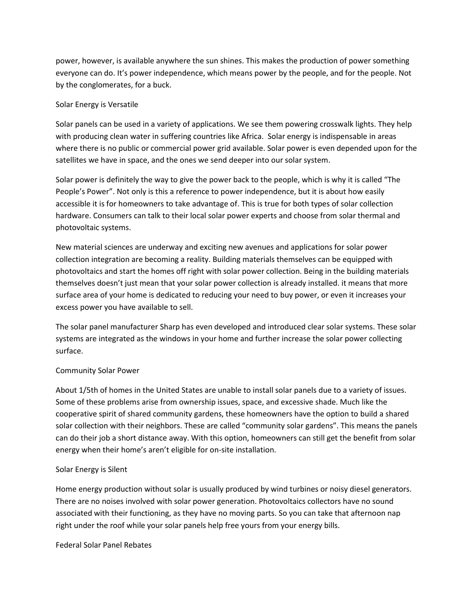power, however, is available anywhere the sun shines. This makes the production of power something everyone can do. It's power independence, which means power by the people, and for the people. Not by the conglomerates, for a buck.

## Solar Energy is Versatile

Solar panels can be used in a variety of applications. We see them powering crosswalk lights. They help with producing clean water in suffering countries like Africa. Solar energy is indispensable in areas where there is no public or commercial power grid available. Solar power is even depended upon for the satellites we have in space, and the ones we send deeper into our solar system.

Solar power is definitely the way to give the power back to the people, which is why it is called "The People's Power". Not only is this a reference to power independence, but it is about how easily accessible it is for homeowners to take advantage of. This is true for both types of solar collection hardware. Consumers can talk to their local solar power experts and choose from solar thermal and photovoltaic systems.

New material sciences are underway and exciting new avenues and applications for solar power collection integration are becoming a reality. Building materials themselves can be equipped with photovoltaics and start the homes off right with solar power collection. Being in the building materials themselves doesn't just mean that your solar power collection is already installed. it means that more surface area of your home is dedicated to reducing your need to buy power, or even it increases your excess power you have available to sell.

The solar panel manufacturer Sharp has even developed and introduced clear solar systems. These solar systems are integrated as the windows in your home and further increase the solar power collecting surface.

# Community Solar Power

About 1/5th of homes in the United States are unable to install solar panels due to a variety of issues. Some of these problems arise from ownership issues, space, and excessive shade. Much like the cooperative spirit of shared community gardens, these homeowners have the option to build a shared solar collection with their neighbors. These are called "community solar gardens". This means the panels can do their job a short distance away. With this option, homeowners can still get the benefit from solar energy when their home's aren't eligible for on-site installation.

# Solar Energy is Silent

Home energy production without solar is usually produced by wind turbines or noisy diesel generators. There are no noises involved with solar power generation. Photovoltaics collectors have no sound associated with their functioning, as they have no moving parts. So you can take that afternoon nap right under the roof while your solar panels help free yours from your energy bills.

Federal Solar Panel Rebates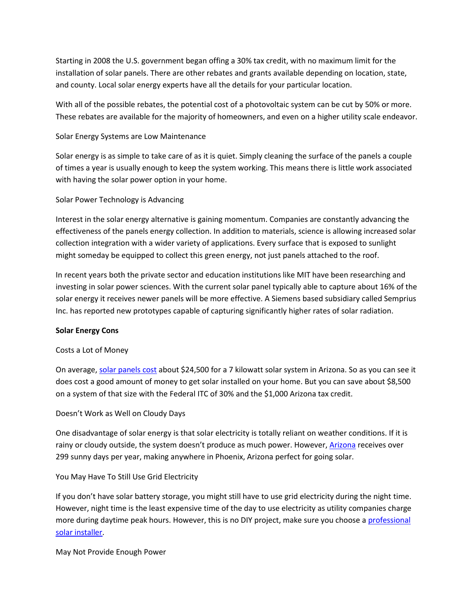Starting in 2008 the U.S. government began offing a 30% tax credit, with no maximum limit for the installation of solar panels. There are other rebates and grants available depending on location, state, and county. Local solar energy experts have all the details for your particular location.

With all of the possible rebates, the potential cost of a photovoltaic system can be cut by 50% or more. These rebates are available for the majority of homeowners, and even on a higher utility scale endeavor.

# Solar Energy Systems are Low Maintenance

Solar energy is as simple to take care of as it is quiet. Simply cleaning the surface of the panels a couple of times a year is usually enough to keep the system working. This means there is little work associated with having the solar power option in your home.

# Solar Power Technology is Advancing

Interest in the solar energy alternative is gaining momentum. Companies are constantly advancing the effectiveness of the panels energy collection. In addition to materials, science is allowing increased solar collection integration with a wider variety of applications. Every surface that is exposed to sunlight might someday be equipped to collect this green energy, not just panels attached to the roof.

In recent years both the private sector and education institutions like MIT have been researching and investing in solar power sciences. With the current solar panel typically able to capture about 16% of the solar energy it receives newer panels will be more effective. A Siemens based subsidiary called Semprius Inc. has reported new prototypes capable of capturing significantly higher rates of solar radiation.

## **Solar Energy Cons**

## Costs a Lot of Money

On average, [solar panels cost](https://powersolarphoenix.com/solar-panels-cost-arizona/) about \$24,500 for a 7 kilowatt solar system in Arizona. So as you can see it does cost a good amount of money to get solar installed on your home. But you can save about \$8,500 on a system of that size with the Federal ITC of 30% and the \$1,000 Arizona tax credit.

## Doesn't Work as Well on Cloudy Days

One disadvantage of solar energy is that solar electricity is totally reliant on weather conditions. If it is rainy or cloudy outside, the system doesn't produce as much power. However, [Arizona](https://www.bestplaces.net/climate/city/arizona/phoenix) receives over 299 sunny days per year, making anywhere in Phoenix, Arizona perfect for going solar.

# You May Have To Still Use Grid Electricity

If you don't have solar battery storage, you might still have to use grid electricity during the night time. However, night time is the least expensive time of the day to use electricity as utility companies charge more during daytime peak hours. However, this is no DIY project, make sure you choose a professional [solar installer.](https://powersolarphoenix.com/home-solar-panel-installation-diy-hire-pros/)

## May Not Provide Enough Power